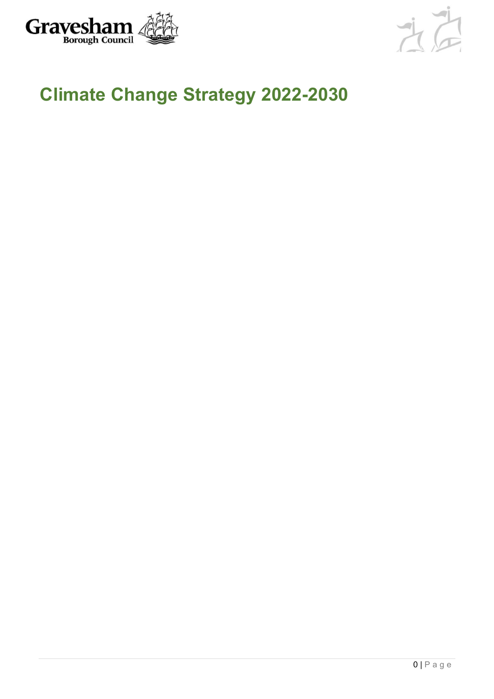



# **Climate Change Strategy 2022-2030**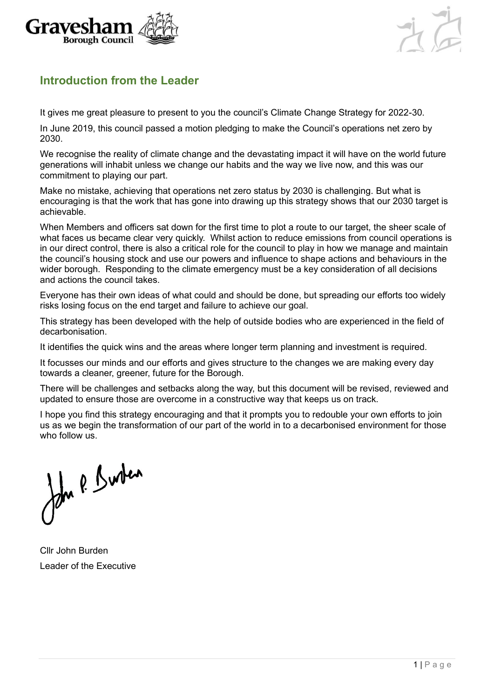



# **Introduction from the Leader**

It gives me great pleasure to present to you the council's Climate Change Strategy for 2022-30.

In June 2019, this council passed a motion pledging to make the Council's operations net zero by 2030.

We recognise the reality of climate change and the devastating impact it will have on the world future generations will inhabit unless we change our habits and the way we live now, and this was our commitment to playing our part.

Make no mistake, achieving that operations net zero status by 2030 is challenging. But what is encouraging is that the work that has gone into drawing up this strategy shows that our 2030 target is achievable.

When Members and officers sat down for the first time to plot a route to our target, the sheer scale of what faces us became clear very quickly. Whilst action to reduce emissions from council operations is in our direct control, there is also a critical role for the council to play in how we manage and maintain the council's housing stock and use our powers and influence to shape actions and behaviours in the wider borough. Responding to the climate emergency must be a key consideration of all decisions and actions the council takes.

Everyone has their own ideas of what could and should be done, but spreading our efforts too widely risks losing focus on the end target and failure to achieve our goal.

This strategy has been developed with the help of outside bodies who are experienced in the field of decarbonisation.

It identifies the quick wins and the areas where longer term planning and investment is required.

It focusses our minds and our efforts and gives structure to the changes we are making every day towards a cleaner, greener, future for the Borough.

There will be challenges and setbacks along the way, but this document will be revised, reviewed and updated to ensure those are overcome in a constructive way that keeps us on track.

I hope you find this strategy encouraging and that it prompts you to redouble your own efforts to join us as we begin the transformation of our part of the world in to a decarbonised environment for those who follow us.

John P. Surben

Cllr John Burden Leader of the Executive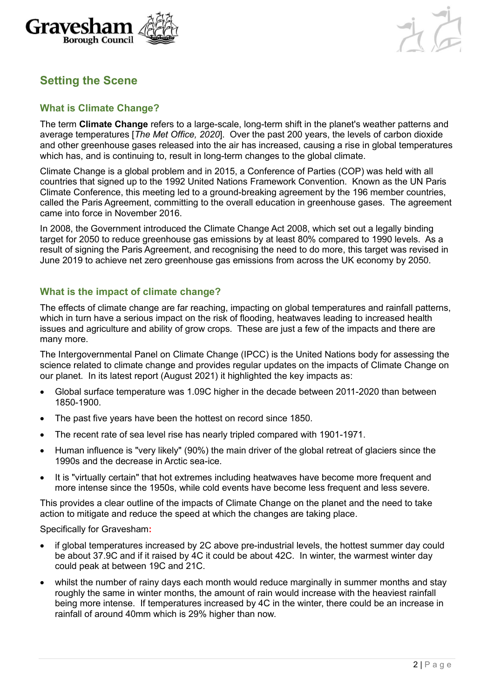



# **Setting the Scene**

#### **What is Climate Change?**

The term **Climate Change** refers to a large-scale, long-term shift in the planet's weather patterns and average temperatures [*The Met Office, 2020*]. Over the past 200 years, the levels of carbon dioxide and other greenhouse gases released into the air has increased, causing a rise in global temperatures which has, and is continuing to, result in long-term changes to the global climate.

Climate Change is a global problem and in 2015, a Conference of Parties (COP) was held with all countries that signed up to the 1992 United Nations Framework Convention. Known as the UN Paris Climate Conference, this meeting led to a ground-breaking agreement by the 196 member countries, called the Paris Agreement, committing to the overall education in greenhouse gases. The agreement came into force in November 2016.

In 2008, the Government introduced the Climate Change Act 2008, which set out a legally binding target for 2050 to reduce greenhouse gas emissions by at least 80% compared to 1990 levels. As a result of signing the Paris Agreement, and recognising the need to do more, this target was revised in June 2019 to achieve net zero greenhouse gas emissions from across the UK economy by 2050.

#### **What is the impact of climate change?**

The effects of climate change are far reaching, impacting on global temperatures and rainfall patterns, which in turn have a serious impact on the risk of flooding, heatwaves leading to increased health issues and agriculture and ability of grow crops. These are just a few of the impacts and there are many more.

The Intergovernmental Panel on Climate Change (IPCC) is the United Nations body for assessing the science related to climate change and provides regular updates on the impacts of Climate Change on our planet. In its latest report (August 2021) it highlighted the key impacts as:

- Global surface temperature was 1.09C higher in the decade between 2011-2020 than between 1850-1900.
- The past five years have been the hottest on record since 1850.
- The recent rate of sea level rise has nearly tripled compared with 1901-1971.
- Human influence is "very likely" (90%) the main driver of the global retreat of glaciers since the 1990s and the decrease in Arctic sea-ice.
- It is "virtually certain" that hot extremes including heatwaves have become more frequent and more intense since the 1950s, while cold events have become less frequent and less severe.

This provides a clear outline of the impacts of Climate Change on the planet and the need to take action to mitigate and reduce the speed at which the changes are taking place.

Specifically for Gravesham**:**

- if global temperatures increased by 2C above pre-industrial levels, the hottest summer day could be about 37.9C and if it raised by 4C it could be about 42C. In winter, the warmest winter day could peak at between 19C and 21C.
- whilst the number of rainy days each month would reduce marginally in summer months and stay roughly the same in winter months, the amount of rain would increase with the heaviest rainfall being more intense. If temperatures increased by 4C in the winter, there could be an increase in rainfall of around 40mm which is 29% higher than now.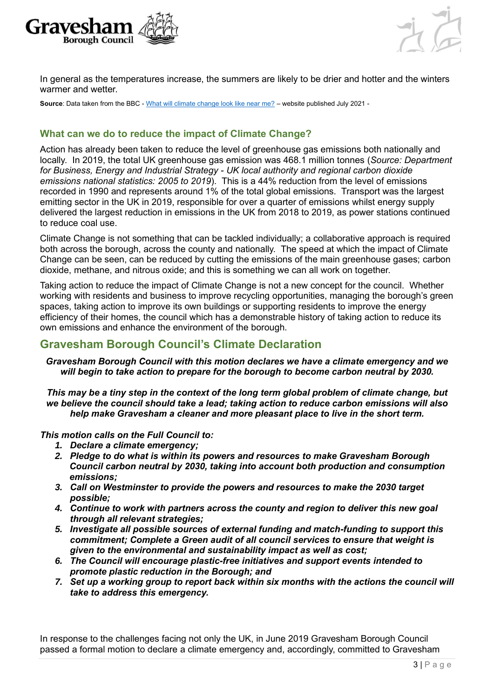



In general as the temperatures increase, the summers are likely to be drier and hotter and the winters warmer and wetter.

**Source**: Data taken from the BBC - [What will climate change look like near me?](https://www.bbc.co.uk/news/resources/idt-d6338d9f-8789-4bc2-b6d7-3691c0e7d138) – website published July 2021 -

#### **What can we do to reduce the impact of Climate Change?**

Action has already been taken to reduce the level of greenhouse gas emissions both nationally and locally. In 2019, the total UK greenhouse gas emission was 468.1 million tonnes (*Source: Department for Business, Energy and Industrial Strategy - UK local authority and regional carbon dioxide emissions national statistics: 2005 to 2019*). This is a 44% reduction from the level of emissions recorded in 1990 and represents around 1% of the total global emissions. Transport was the largest emitting sector in the UK in 2019, responsible for over a quarter of emissions whilst energy supply delivered the largest reduction in emissions in the UK from 2018 to 2019, as power stations continued to reduce coal use.

Climate Change is not something that can be tackled individually; a collaborative approach is required both across the borough, across the county and nationally. The speed at which the impact of Climate Change can be seen, can be reduced by cutting the emissions of the main greenhouse gases; carbon dioxide, methane, and nitrous oxide; and this is something we can all work on together.

Taking action to reduce the impact of Climate Change is not a new concept for the council. Whether working with residents and business to improve recycling opportunities, managing the borough's green spaces, taking action to improve its own buildings or supporting residents to improve the energy efficiency of their homes, the council which has a demonstrable history of taking action to reduce its own emissions and enhance the environment of the borough.

# **Gravesham Borough Council's Climate Declaration**

#### *Gravesham Borough Council with this motion declares we have a climate emergency and we will begin to take action to prepare for the borough to become carbon neutral by 2030.*

*This may be a tiny step in the context of the long term global problem of climate change, but we believe the council should take a lead; taking action to reduce carbon emissions will also help make Gravesham a cleaner and more pleasant place to live in the short term.*

*This motion calls on the Full Council to:*

- *1. Declare a climate emergency;*
- *2. Pledge to do what is within its powers and resources to make Gravesham Borough Council carbon neutral by 2030, taking into account both production and consumption emissions;*
- *3. Call on Westminster to provide the powers and resources to make the 2030 target possible;*
- *4. Continue to work with partners across the county and region to deliver this new goal through all relevant strategies;*
- *5. Investigate all possible sources of external funding and match-funding to support this commitment; Complete a Green audit of all council services to ensure that weight is given to the environmental and sustainability impact as well as cost;*
- *6. The Council will encourage plastic-free initiatives and support events intended to promote plastic reduction in the Borough; and*
- *7. Set up a working group to report back within six months with the actions the council will take to address this emergency.*

In response to the challenges facing not only the UK, in June 2019 Gravesham Borough Council passed a formal motion to declare a climate emergency and, accordingly, committed to Gravesham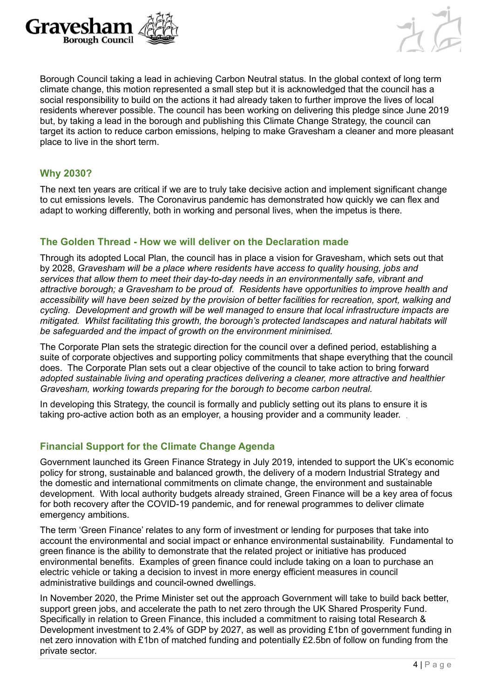



Borough Council taking a lead in achieving Carbon Neutral status. In the global context of long term climate change, this motion represented a small step but it is acknowledged that the council has a social responsibility to build on the actions it had already taken to further improve the lives of local residents wherever possible. The council has been working on delivering this pledge since June 2019 but, by taking a lead in the borough and publishing this Climate Change Strategy, the council can target its action to reduce carbon emissions, helping to make Gravesham a cleaner and more pleasant place to live in the short term.

#### **Why 2030?**

The next ten years are critical if we are to truly take decisive action and implement significant change to cut emissions levels. The Coronavirus pandemic has demonstrated how quickly we can flex and adapt to working differently, both in working and personal lives, when the impetus is there.

#### **The Golden Thread - How we will deliver on the Declaration made**

Through its adopted Local Plan, the council has in place a vision for Gravesham, which sets out that by 2028, *Gravesham will be a place where residents have access to quality housing, jobs and services that allow them to meet their day-to-day needs in an environmentally safe, vibrant and attractive borough; a Gravesham to be proud of. Residents have opportunities to improve health and accessibility will have been seized by the provision of better facilities for recreation, sport, walking and cycling. Development and growth will be well managed to ensure that local infrastructure impacts are mitigated. Whilst facilitating this growth, the borough's protected landscapes and natural habitats will be safeguarded and the impact of growth on the environment minimised.*

The Corporate Plan sets the strategic direction for the council over a defined period, establishing a suite of corporate objectives and supporting policy commitments that shape everything that the council does. The Corporate Plan sets out a clear objective of the council to take action to bring forward *adopted sustainable living and operating practices delivering a cleaner, more attractive and healthier Gravesham, working towards preparing for the borough to become carbon neutral.*

In developing this Strategy, the council is formally and publicly setting out its plans to ensure it is taking pro-active action both as an employer, a housing provider and a community leader. . .

#### **Financial Support for the Climate Change Agenda**

Government launched its Green Finance Strategy in July 2019, intended to support the UK's economic policy for strong, sustainable and balanced growth, the delivery of a modern Industrial Strategy and the domestic and international commitments on climate change, the environment and sustainable development. With local authority budgets already strained, Green Finance will be a key area of focus for both recovery after the COVID-19 pandemic, and for renewal programmes to deliver climate emergency ambitions.

The term 'Green Finance' relates to any form of investment or lending for purposes that take into account the environmental and social impact or enhance environmental sustainability. Fundamental to green finance is the ability to demonstrate that the related project or initiative has produced environmental benefits. Examples of green finance could include taking on a loan to purchase an electric vehicle or taking a decision to invest in more energy efficient measures in council administrative buildings and council-owned dwellings.

In November 2020, the Prime Minister set out the approach Government will take to build back better, support green jobs, and accelerate the path to net zero through the UK Shared Prosperity Fund. Specifically in relation to Green Finance, this included a commitment to raising total Research & Development investment to 2.4% of GDP by 2027, as well as providing £1bn of government funding in net zero innovation with £1bn of matched funding and potentially £2.5bn of follow on funding from the private sector.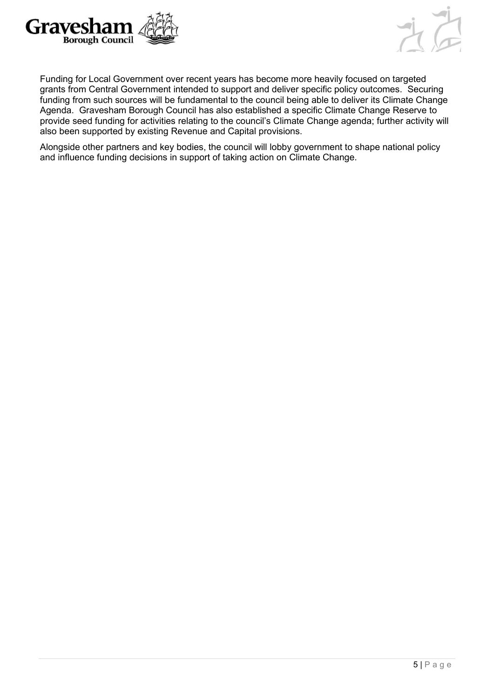



Funding for Local Government over recent years has become more heavily focused on targeted grants from Central Government intended to support and deliver specific policy outcomes. Securing funding from such sources will be fundamental to the council being able to deliver its Climate Change Agenda. Gravesham Borough Council has also established a specific Climate Change Reserve to provide seed funding for activities relating to the council's Climate Change agenda; further activity will also been supported by existing Revenue and Capital provisions.

Alongside other partners and key bodies, the council will lobby government to shape national policy and influence funding decisions in support of taking action on Climate Change.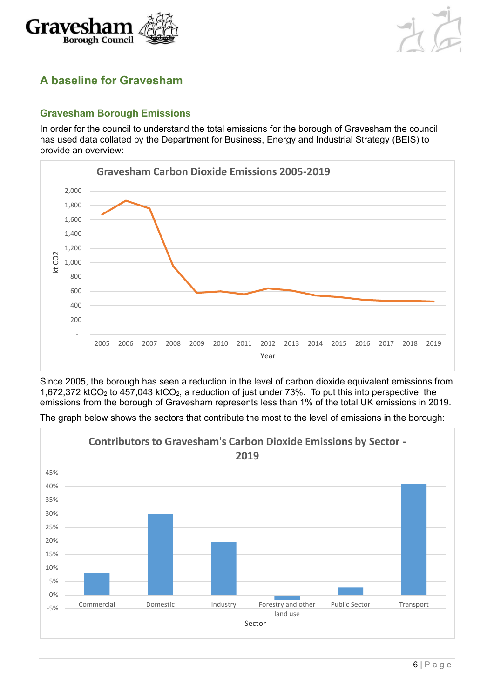



# **A baseline for Gravesham**

# **Gravesham Borough Emissions**

In order for the council to understand the total emissions for the borough of Gravesham the council has used data collated by the Department for Business, Energy and Industrial Strategy (BEIS) to provide an overview:



Since 2005, the borough has seen a reduction in the level of carbon dioxide equivalent emissions from 1,672,372 ktCO<sub>2</sub> to 457,043 ktCO<sub>2</sub>, a reduction of just under 73%. To put this into perspective, the emissions from the borough of Gravesham represents less than 1% of the total UK emissions in 2019.

The graph below shows the sectors that contribute the most to the level of emissions in the borough:

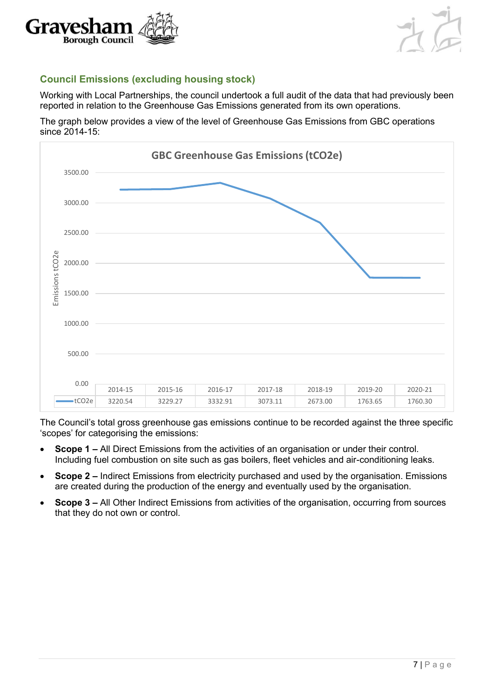



#### **Council Emissions (excluding housing stock)**

Working with Local Partnerships, the council undertook a full audit of the data that had previously been reported in relation to the Greenhouse Gas Emissions generated from its own operations.

The graph below provides a view of the level of Greenhouse Gas Emissions from GBC operations since 2014-15:



The Council's total gross greenhouse gas emissions continue to be recorded against the three specific 'scopes' for categorising the emissions:

- **Scope 1 –** All Direct Emissions from the activities of an organisation or under their control. Including fuel combustion on site such as gas boilers, fleet vehicles and air-conditioning leaks.
- **Scope 2 –** Indirect Emissions from electricity purchased and used by the organisation. Emissions are created during the production of the energy and eventually used by the organisation.
- **Scope 3 –** All Other Indirect Emissions from activities of the organisation, occurring from sources that they do not own or control.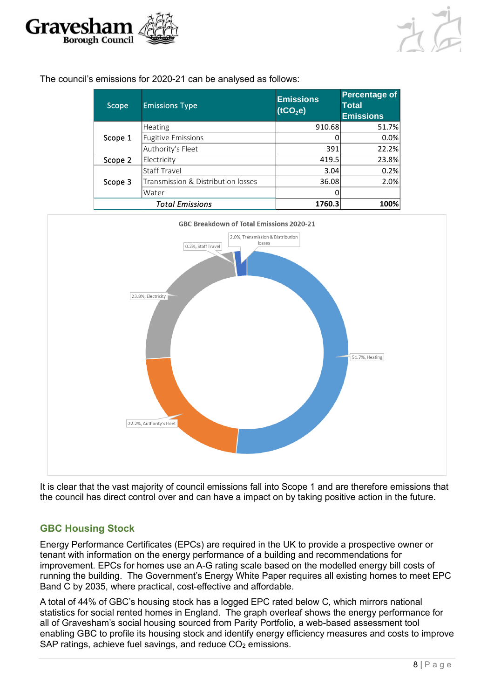



The council's emissions for 2020-21 can be analysed as follows:

| Scope   | <b>Emissions Type</b>              | <b>Emissions</b><br>(tCO <sub>2</sub> e) | <b>Percentage of</b><br><b>Total</b><br><b>Emissions</b> |
|---------|------------------------------------|------------------------------------------|----------------------------------------------------------|
|         | Heating                            | 910.68                                   | 51.7%                                                    |
| Scope 1 | <b>Fugitive Emissions</b>          |                                          | 0.0%                                                     |
|         | Authority's Fleet                  | 391                                      | 22.2%                                                    |
| Scope 2 | Electricity                        | 419.5                                    | 23.8%                                                    |
|         | <b>Staff Travel</b>                | 3.04                                     | 0.2%                                                     |
| Scope 3 | Transmission & Distribution losses | 36.08                                    | 2.0%                                                     |
|         | Water                              |                                          |                                                          |
|         | Total Emissions                    | 1760.3                                   | 100%                                                     |



It is clear that the vast majority of council emissions fall into Scope 1 and are therefore emissions that the council has direct control over and can have a impact on by taking positive action in the future.

#### **GBC Housing Stock**

Energy Performance Certificates (EPCs) are required in the UK to provide a prospective owner or tenant with information on the energy performance of a building and recommendations for improvement. EPCs for homes use an A-G rating scale based on the modelled energy bill costs of running the building. The Government's Energy White Paper requires all existing homes to meet EPC Band C by 2035, where practical, cost-effective and affordable.

A total of 44% of GBC's housing stock has a logged EPC rated below C, which mirrors national statistics for social rented homes in England. The graph overleaf shows the energy performance for all of Gravesham's social housing sourced from Parity Portfolio, a web-based assessment tool enabling GBC to profile its housing stock and identify energy efficiency measures and costs to improve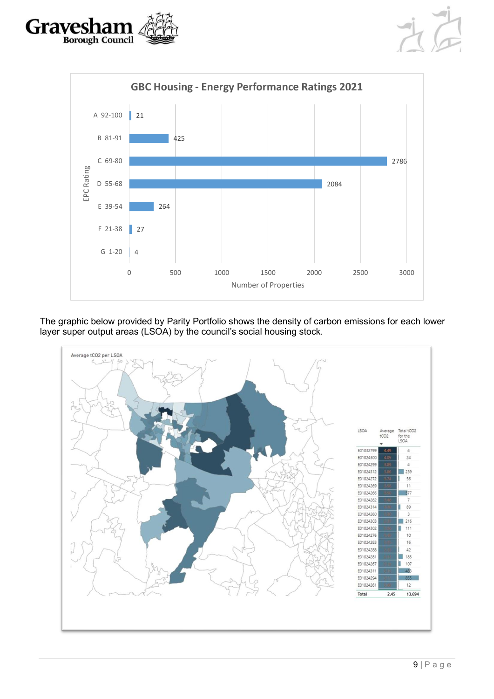





The graphic below provided by Parity Portfolio shows the density of carbon emissions for each lower layer super output areas (LSOA) by the council's social housing stock.

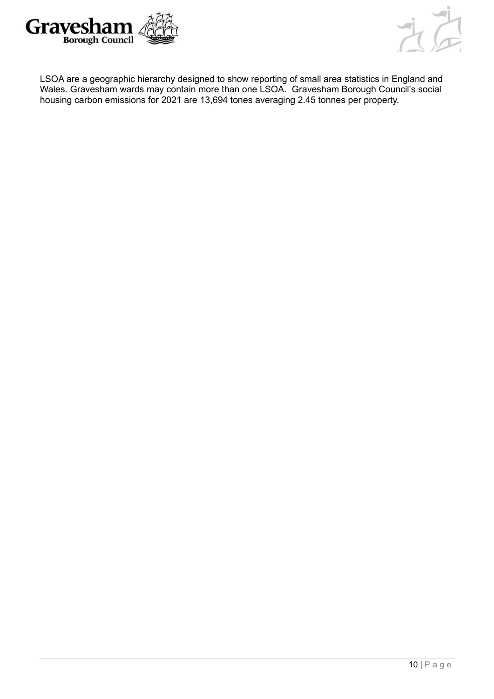



LSOA are a geographic hierarchy designed to show reporting of small area statistics in England and Wales. Gravesham wards may contain more than one LSOA. Gravesham Borough Council's social housing carbon emissions for 2021 are 13,694 tones averaging 2.45 tonnes per property.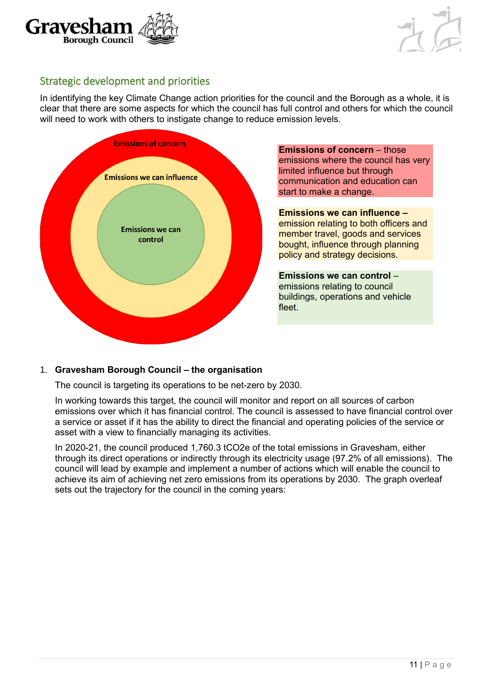



# Strategic development and priorities

In identifying the key Climate Change action priorities for the council and the Borough as a whole, it is clear that there are some aspects for which the council has full control and others for which the council will need to work with others to instigate change to reduce emission levels.



1. **Gravesham Borough Council – the organisation**

The council is targeting its operations to be net-zero by 2030.

In working towards this target, the council will monitor and report on all sources of carbon emissions over which it has financial control. The council is assessed to have financial control over a service or asset if it has the ability to direct the financial and operating policies of the service or asset with a view to financially managing its activities.

In 2020-21, the council produced 1,760.3 tCO2e of the total emissions in Gravesham, either through its direct operations or indirectly through its electricity usage (97.2% of all emissions). The council will lead by example and implement a number of actions which will enable the council to achieve its aim of achieving net zero emissions from its operations by 2030. The graph overleaf sets out the trajectory for the council in the coming years: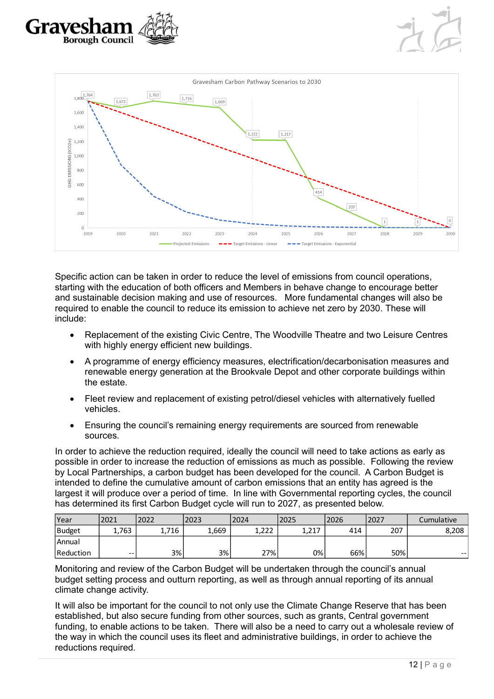



Specific action can be taken in order to reduce the level of emissions from council operations, starting with the education of both officers and Members in behave change to encourage better and sustainable decision making and use of resources. More fundamental changes will also be required to enable the council to reduce its emission to achieve net zero by 2030. These will include:

- Replacement of the existing Civic Centre, The Woodville Theatre and two Leisure Centres with highly energy efficient new buildings.
- A programme of energy efficiency measures, electrification/decarbonisation measures and renewable energy generation at the Brookvale Depot and other corporate buildings within the estate.
- Fleet review and replacement of existing petrol/diesel vehicles with alternatively fuelled vehicles.
- Ensuring the council's remaining energy requirements are sourced from renewable sources.

In order to achieve the reduction required, ideally the council will need to take actions as early as possible in order to increase the reduction of emissions as much as possible. Following the review by Local Partnerships, a carbon budget has been developed for the council. A Carbon Budget is intended to define the cumulative amount of carbon emissions that an entity has agreed is the largest it will produce over a period of time. In line with Governmental reporting cycles, the council has determined its first Carbon Budget cycle will run to 2027, as presented below.

| Year      | 2021  | 2022 | 2023  | 2024         | 2025               | 2026 | 2027 | Cumulative |
|-----------|-------|------|-------|--------------|--------------------|------|------|------------|
| Budget    | 1.763 | 716  | 1,669 | ววว<br>1,ZZZ | 1 717<br>، ٹ کرنا۔ | 414  | 207  | 8,208      |
| Annual    |       |      |       |              |                    |      |      |            |
| Reduction | $- -$ | 3%   | 3%    | 27%          | $0\%$              | 66%  | 50%  | .          |

Monitoring and review of the Carbon Budget will be undertaken through the council's annual budget setting process and outturn reporting, as well as through annual reporting of its annual climate change activity.

It will also be important for the council to not only use the Climate Change Reserve that has been established, but also secure funding from other sources, such as grants, Central government funding, to enable actions to be taken. There will also be a need to carry out a wholesale review of the way in which the council uses its fleet and administrative buildings, in order to achieve the For a state of the carbon Budget and attentions required.<br>
Reduction 1,763 1,716 1,669 1,222 1,217 2025 2027 Cumulative<br>
Reduction 1,763 3% 3% 27% 0% 66% 50% 2027<br>
Monitoring and review of the Carbon Budget will be undert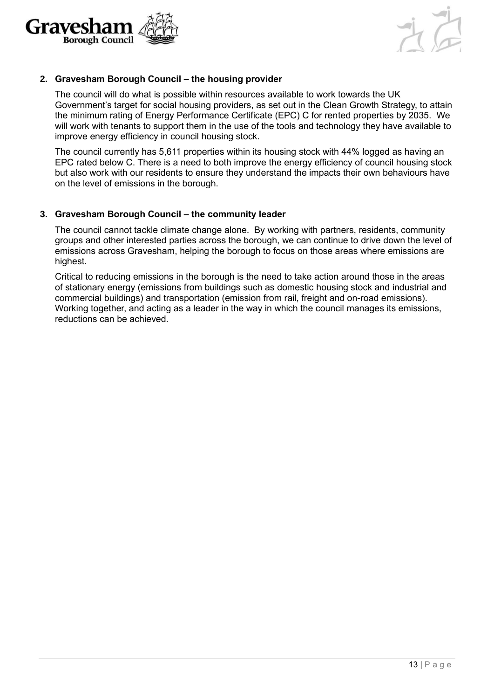



#### **2. Gravesham Borough Council – the housing provider**

The council will do what is possible within resources available to work towards the UK Government's target for social housing providers, as set out in the Clean Growth Strategy, to attain the minimum rating of Energy Performance Certificate (EPC) C for rented properties by 2035. We will work with tenants to support them in the use of the tools and technology they have available to improve energy efficiency in council housing stock.

The council currently has 5,611 properties within its housing stock with 44% logged as having an EPC rated below C. There is a need to both improve the energy efficiency of council housing stock but also work with our residents to ensure they understand the impacts their own behaviours have on the level of emissions in the borough.

#### **3. Gravesham Borough Council – the community leader**

The council cannot tackle climate change alone. By working with partners, residents, community groups and other interested parties across the borough, we can continue to drive down the level of emissions across Gravesham, helping the borough to focus on those areas where emissions are highest.

Critical to reducing emissions in the borough is the need to take action around those in the areas of stationary energy (emissions from buildings such as domestic housing stock and industrial and commercial buildings) and transportation (emission from rail, freight and on-road emissions). Working together, and acting as a leader in the way in which the council manages its emissions, reductions can be achieved.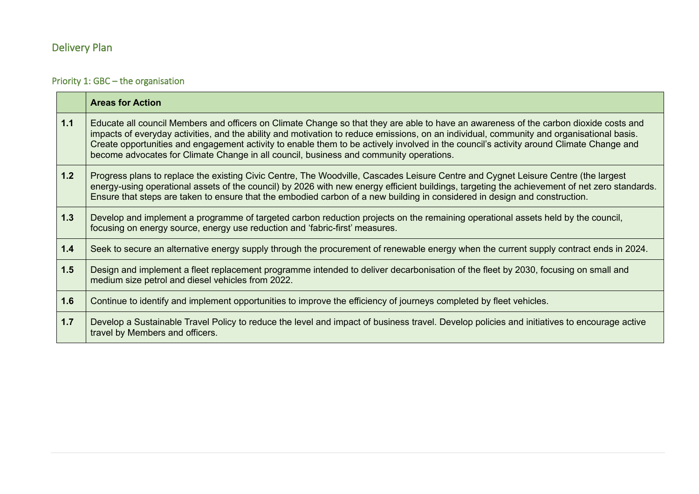# Delivery Plan

# Priority 1: GBC – the organisation

|     | <b>Areas for Action</b>                                                                                                                                                                                                                                                                                                                                                                                                                                                                                                 |
|-----|-------------------------------------------------------------------------------------------------------------------------------------------------------------------------------------------------------------------------------------------------------------------------------------------------------------------------------------------------------------------------------------------------------------------------------------------------------------------------------------------------------------------------|
| 1.1 | Educate all council Members and officers on Climate Change so that they are able to have an awareness of the carbon dioxide costs and<br>impacts of everyday activities, and the ability and motivation to reduce emissions, on an individual, community and organisational basis.<br>Create opportunities and engagement activity to enable them to be actively involved in the council's activity around Climate Change and<br>become advocates for Climate Change in all council, business and community operations. |
| 1.2 | Progress plans to replace the existing Civic Centre, The Woodville, Cascades Leisure Centre and Cygnet Leisure Centre (the largest<br>energy-using operational assets of the council) by 2026 with new energy efficient buildings, targeting the achievement of net zero standards.<br>Ensure that steps are taken to ensure that the embodied carbon of a new building in considered in design and construction.                                                                                                       |
| 1.3 | Develop and implement a programme of targeted carbon reduction projects on the remaining operational assets held by the council,<br>focusing on energy source, energy use reduction and 'fabric-first' measures.                                                                                                                                                                                                                                                                                                        |
| 1.4 | Seek to secure an alternative energy supply through the procurement of renewable energy when the current supply contract ends in 2024.                                                                                                                                                                                                                                                                                                                                                                                  |
| 1.5 | Design and implement a fleet replacement programme intended to deliver decarbonisation of the fleet by 2030, focusing on small and<br>medium size petrol and diesel vehicles from 2022.                                                                                                                                                                                                                                                                                                                                 |
| 1.6 | Continue to identify and implement opportunities to improve the efficiency of journeys completed by fleet vehicles.                                                                                                                                                                                                                                                                                                                                                                                                     |
| 1.7 | Develop a Sustainable Travel Policy to reduce the level and impact of business travel. Develop policies and initiatives to encourage active<br>travel by Members and officers.                                                                                                                                                                                                                                                                                                                                          |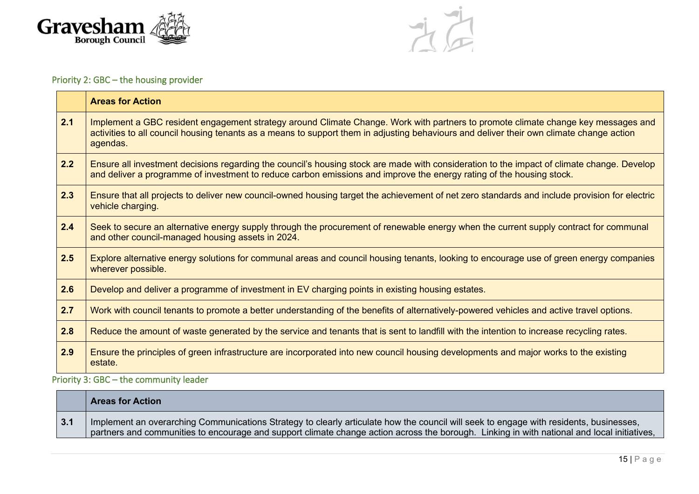



# Priority 2: GBC – the housing provider

|     | <b>Areas for Action</b>                                                                                                                                                                                                                                                                   |
|-----|-------------------------------------------------------------------------------------------------------------------------------------------------------------------------------------------------------------------------------------------------------------------------------------------|
| 2.1 | Implement a GBC resident engagement strategy around Climate Change. Work with partners to promote climate change key messages and<br>activities to all council housing tenants as a means to support them in adjusting behaviours and deliver their own climate change action<br>agendas. |
| 2.2 | Ensure all investment decisions regarding the council's housing stock are made with consideration to the impact of climate change. Develop<br>and deliver a programme of investment to reduce carbon emissions and improve the energy rating of the housing stock.                        |
| 2.3 | Ensure that all projects to deliver new council-owned housing target the achievement of net zero standards and include provision for electric<br>vehicle charging.                                                                                                                        |
| 2.4 | Seek to secure an alternative energy supply through the procurement of renewable energy when the current supply contract for communal<br>and other council-managed housing assets in 2024.                                                                                                |
| 2.5 | Explore alternative energy solutions for communal areas and council housing tenants, looking to encourage use of green energy companies<br>wherever possible.                                                                                                                             |
| 2.6 | Develop and deliver a programme of investment in EV charging points in existing housing estates.                                                                                                                                                                                          |
| 2.7 | Work with council tenants to promote a better understanding of the benefits of alternatively-powered vehicles and active travel options.                                                                                                                                                  |
| 2.8 | Reduce the amount of waste generated by the service and tenants that is sent to landfill with the intention to increase recycling rates.                                                                                                                                                  |
| 2.9 | Ensure the principles of green infrastructure are incorporated into new council housing developments and major works to the existing<br>estate.                                                                                                                                           |

Priority 3: GBC – the community leader

|     | Areas for Action                                                                                                                                                                                                                                                                      |
|-----|---------------------------------------------------------------------------------------------------------------------------------------------------------------------------------------------------------------------------------------------------------------------------------------|
| 3.1 | Implement an overarching Communications Strategy to clearly articulate how the council will seek to engage with residents, businesses,<br>partners and communities to encourage and support climate change action across the borough. Linking in with national and local initiatives, |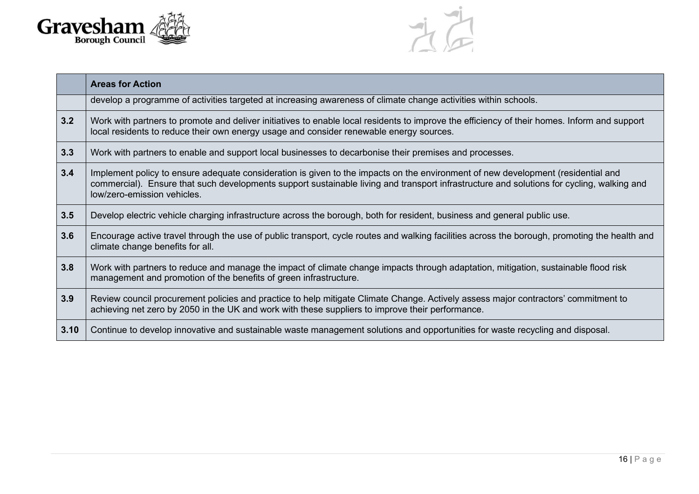



|      | <b>Areas for Action</b>                                                                                                                                                                                                                                                                                      |
|------|--------------------------------------------------------------------------------------------------------------------------------------------------------------------------------------------------------------------------------------------------------------------------------------------------------------|
|      | develop a programme of activities targeted at increasing awareness of climate change activities within schools.                                                                                                                                                                                              |
| 3.2  | Work with partners to promote and deliver initiatives to enable local residents to improve the efficiency of their homes. Inform and support<br>local residents to reduce their own energy usage and consider renewable energy sources.                                                                      |
| 3.3  | Work with partners to enable and support local businesses to decarbonise their premises and processes.                                                                                                                                                                                                       |
| 3.4  | Implement policy to ensure adequate consideration is given to the impacts on the environment of new development (residential and<br>commercial). Ensure that such developments support sustainable living and transport infrastructure and solutions for cycling, walking and<br>low/zero-emission vehicles. |
| 3.5  | Develop electric vehicle charging infrastructure across the borough, both for resident, business and general public use.                                                                                                                                                                                     |
| 3.6  | Encourage active travel through the use of public transport, cycle routes and walking facilities across the borough, promoting the health and<br>climate change benefits for all.                                                                                                                            |
| 3.8  | Work with partners to reduce and manage the impact of climate change impacts through adaptation, mitigation, sustainable flood risk<br>management and promotion of the benefits of green infrastructure.                                                                                                     |
| 3.9  | Review council procurement policies and practice to help mitigate Climate Change. Actively assess major contractors' commitment to<br>achieving net zero by 2050 in the UK and work with these suppliers to improve their performance.                                                                       |
| 3.10 | Continue to develop innovative and sustainable waste management solutions and opportunities for waste recycling and disposal.                                                                                                                                                                                |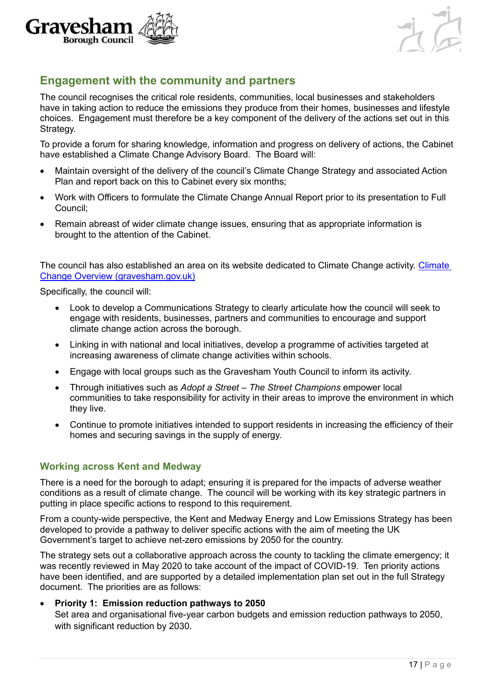



# **Engagement with the community and partners**

The council recognises the critical role residents, communities, local businesses and stakeholders have in taking action to reduce the emissions they produce from their homes, businesses and lifestyle choices. Engagement must therefore be a key component of the delivery of the actions set out in this Strategy.

To provide a forum for sharing knowledge, information and progress on delivery of actions, the Cabinet have established a Climate Change Advisory Board. The Board will:

- Maintain oversight of the delivery of the council's Climate Change Strategy and associated Action Plan and report back on this to Cabinet every six months;
- Work with Officers to formulate the Climate Change Annual Report prior to its presentation to Full Council;
- Remain abreast of wider climate change issues, ensuring that as appropriate information is brought to the attention of the Cabinet.

The council has also established an area on its website dedicated to Climate Change activity. [Climate](https://www.gravesham.gov.uk/home/about-the-council/climate-change/overview)  [Change Overview \(gravesham.gov.uk\)](https://www.gravesham.gov.uk/home/about-the-council/climate-change/overview)

Specifically, the council will:

- Look to develop a Communications Strategy to clearly articulate how the council will seek to engage with residents, businesses, partners and communities to encourage and support climate change action across the borough.
- Linking in with national and local initiatives, develop a programme of activities targeted at increasing awareness of climate change activities within schools.
- Engage with local groups such as the Gravesham Youth Council to inform its activity.
- Through initiatives such as *Adopt a Street – The Street Champions* empower local communities to take responsibility for activity in their areas to improve the environment in which they live.
- Continue to promote initiatives intended to support residents in increasing the efficiency of their homes and securing savings in the supply of energy.

#### **Working across Kent and Medway**

There is a need for the borough to adapt; ensuring it is prepared for the impacts of adverse weather conditions as a result of climate change. The council will be working with its key strategic partners in putting in place specific actions to respond to this requirement.

From a county-wide perspective, the Kent and Medway Energy and Low Emissions Strategy has been developed to provide a pathway to deliver specific actions with the aim of meeting the UK Government's target to achieve net-zero emissions by 2050 for the country.

The strategy sets out a collaborative approach across the county to tackling the climate emergency; it was recently reviewed in May 2020 to take account of the impact of COVID-19. Ten priority actions have been identified, and are supported by a detailed implementation plan set out in the full Strategy document. The priorities are as follows:

• **Priority 1: Emission reduction pathways to 2050** 

Set area and organisational five-year carbon budgets and emission reduction pathways to 2050, with significant reduction by 2030.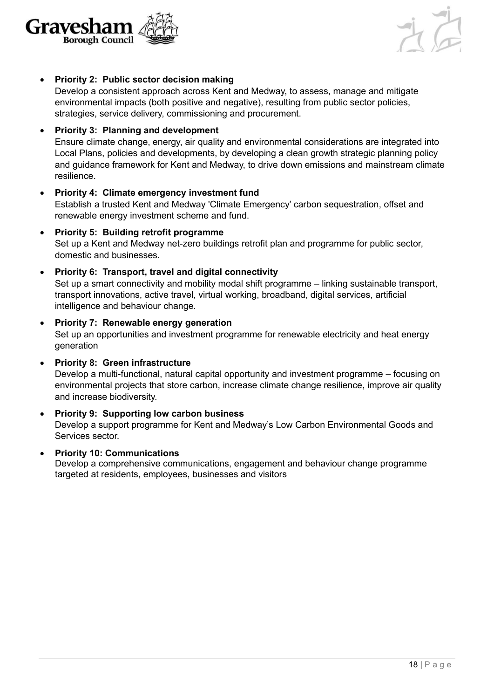



#### • **Priority 2: Public sector decision making**

Develop a consistent approach across Kent and Medway, to assess, manage and mitigate environmental impacts (both positive and negative), resulting from public sector policies, strategies, service delivery, commissioning and procurement.

• **Priority 3: Planning and development**

Ensure climate change, energy, air quality and environmental considerations are integrated into Local Plans, policies and developments, by developing a clean growth strategic planning policy and guidance framework for Kent and Medway, to drive down emissions and mainstream climate resilience.

- **Priority 4: Climate emergency investment fund** Establish a trusted Kent and Medway 'Climate Emergency' carbon sequestration, offset and renewable energy investment scheme and fund.
- **Priority 5: Building retrofit programme** Set up a Kent and Medway net-zero buildings retrofit plan and programme for public sector, domestic and businesses.
- **Priority 6: Transport, travel and digital connectivity** Set up a smart connectivity and mobility modal shift programme – linking sustainable transport, transport innovations, active travel, virtual working, broadband, digital services, artificial intelligence and behaviour change.
- **Priority 7: Renewable energy generation** Set up an opportunities and investment programme for renewable electricity and heat energy generation
- **Priority 8: Green infrastructure**

Develop a multi-functional, natural capital opportunity and investment programme – focusing on environmental projects that store carbon, increase climate change resilience, improve air quality and increase biodiversity.

- **Priority 9: Supporting low carbon business** Develop a support programme for Kent and Medway's Low Carbon Environmental Goods and Services sector.
- **Priority 10: Communications** Develop a comprehensive communications, engagement and behaviour change programme targeted at residents, employees, businesses and visitors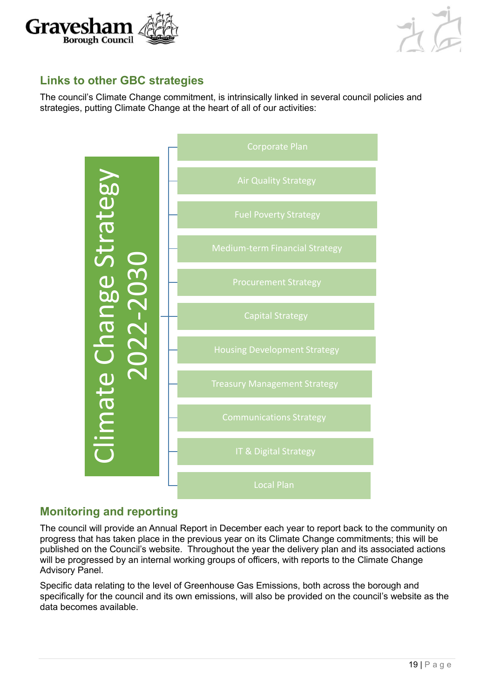



# **Links to other GBC strategies**

The council's Climate Change commitment, is intrinsically linked in several council policies and strategies, putting Climate Change at the heart of all of our activities:



# **Monitoring and reporting**

The council will provide an Annual Report in December each year to report back to the community on progress that has taken place in the previous year on its Climate Change commitments; this will be published on the Council's website. Throughout the year the delivery plan and its associated actions will be progressed by an internal working groups of officers, with reports to the Climate Change Advisory Panel.

Specific data relating to the level of Greenhouse Gas Emissions, both across the borough and specifically for the council and its own emissions, will also be provided on the council's website as the